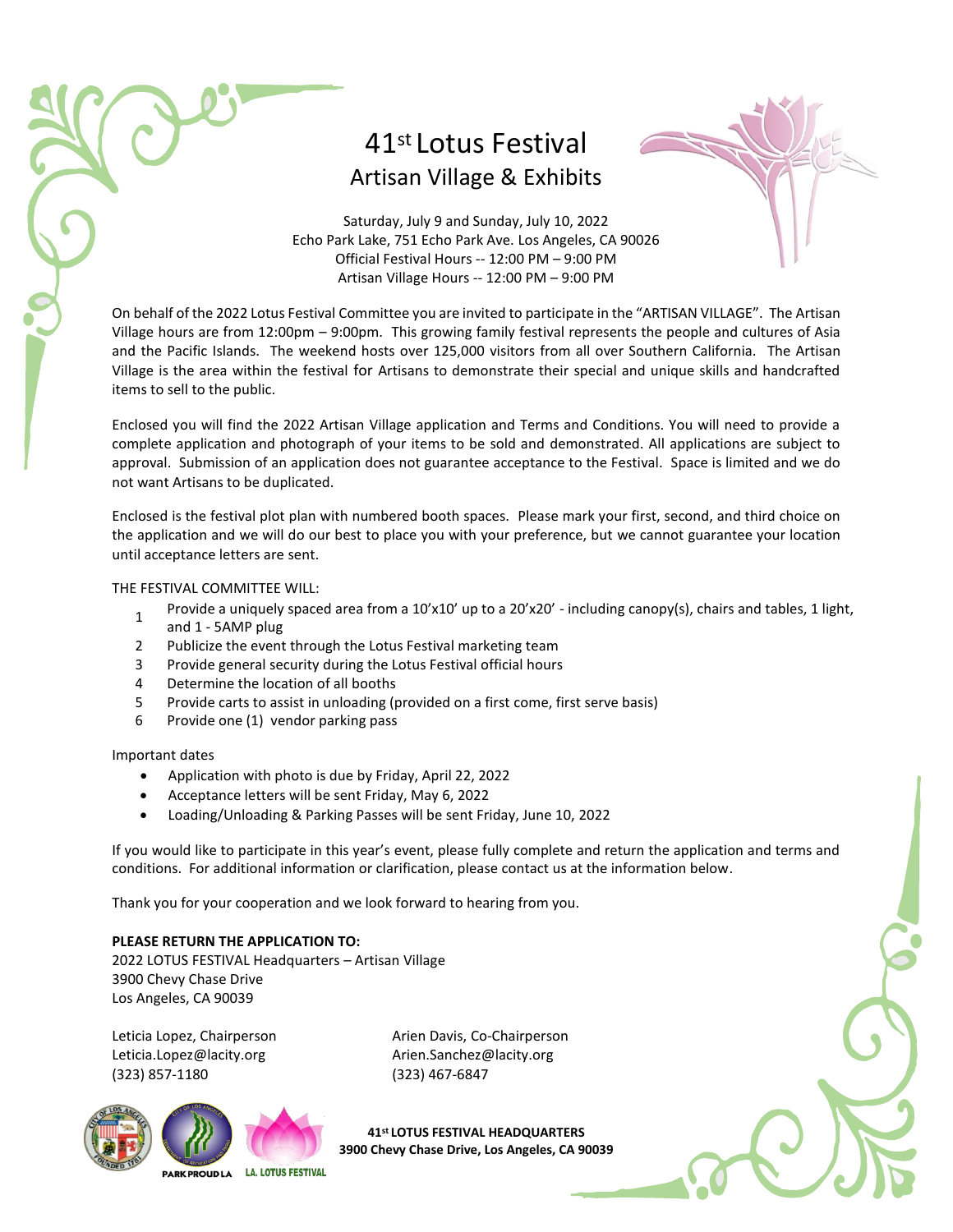## 41st Lotus Festival Artisan Village & Exhibits



Saturday, July 9 and Sunday, July 10, 2022 Echo Park Lake, 751 Echo Park Ave. Los Angeles, CA 90026 Official Festival Hours -- 12:00 PM – 9:00 PM Artisan Village Hours -- 12:00 PM – 9:00 PM

On behalf of the 2022 Lotus Festival Committee you are invited to participate in the "ARTISAN VILLAGE". The Artisan Village hours are from 12:00pm – 9:00pm. This growing family festival represents the people and cultures of Asia and the Pacific Islands. The weekend hosts over 125,000 visitors from all over Southern California. The Artisan Village is the area within the festival for Artisans to demonstrate their special and unique skills and handcrafted items to sell to the public.

Enclosed you will find the 2022 Artisan Village application and Terms and Conditions. You will need to provide a complete application and photograph of your items to be sold and demonstrated. All applications are subject to approval. Submission of an application does not guarantee acceptance to the Festival. Space is limited and we do not want Artisans to be duplicated.

Enclosed is the festival plot plan with numbered booth spaces. Please mark your first, second, and third choice on the application and we will do our best to place you with your preference, but we cannot guarantee your location until acceptance letters are sent.

#### THE FESTIVAL COMMITTEE WILL:

- 1 Provide a uniquely spaced area from a 10'x10' up to a 20'x20' - including canopy(s), chairs and tables, 1 light,
- and 1 5AMP plug
- 2 Publicize the event through the Lotus Festival marketing team
- 3 Provide general security during the Lotus Festival official hours
- 4 Determine the location of all booths
- 5 Provide carts to assist in unloading (provided on a first come, first serve basis)
- 6 Provide one (1) vendor parking pass

Important dates

- Application with photo is due by Friday, April 22, 2022
- Acceptance letters will be sent Friday, May 6, 2022
- Loading/Unloading & Parking Passes will be sent Friday, June 10, 2022

If you would like to participate in this year's event, please fully complete and return the application and terms and conditions. For additional information or clarification, please contact us at the information below.

Thank you for your cooperation and we look forward to hearing from you.

### **PLEASE RETURN THE APPLICATION TO:**

2022 LOTUS FESTIVAL Headquarters – Artisan Village 3900 Chevy Chase Drive Los Angeles, CA 90039

(323) 857-1180 (323) 467-6847

Leticia Lopez, Chairperson **Arien Davis, Co-Chairperson** [Leticia.Lopez@lacity.org](mailto:Leticia.Lopez@lacity.org) https://eticia.Lopez@lacity.org



**41st LOTUS FESTIVAL HEADQUARTERS 3900 Chevy Chase Drive, Los Angeles, CA 90039**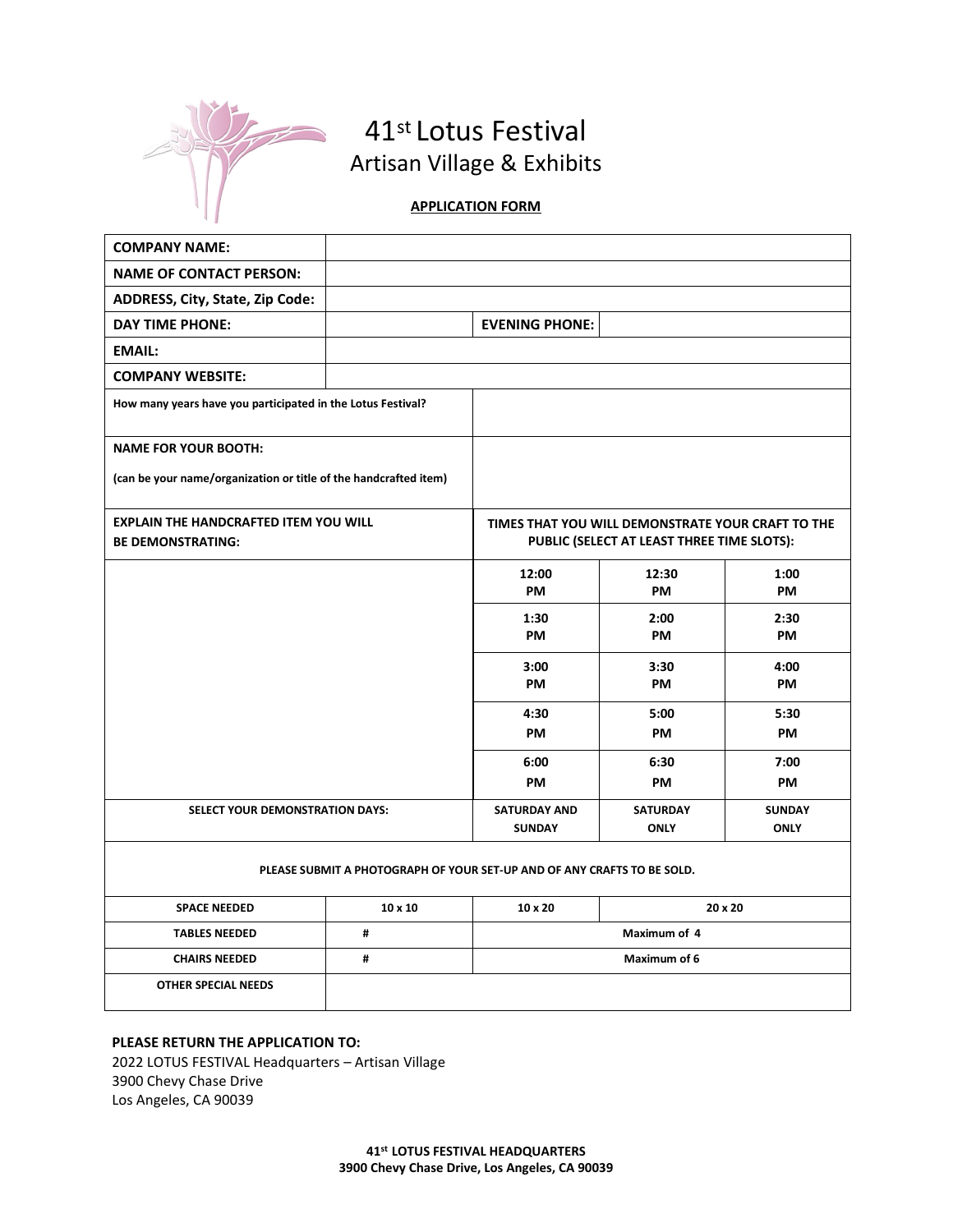

## 41st Lotus Festival Artisan Village & Exhibits

### **APPLICATION FORM**

| <b>COMPANY NAME:</b>                                                     |                |                                                                                                 |                 |               |
|--------------------------------------------------------------------------|----------------|-------------------------------------------------------------------------------------------------|-----------------|---------------|
| <b>NAME OF CONTACT PERSON:</b>                                           |                |                                                                                                 |                 |               |
| ADDRESS, City, State, Zip Code:                                          |                |                                                                                                 |                 |               |
| <b>DAY TIME PHONE:</b>                                                   |                | <b>EVENING PHONE:</b>                                                                           |                 |               |
| <b>EMAIL:</b>                                                            |                |                                                                                                 |                 |               |
| <b>COMPANY WEBSITE:</b>                                                  |                |                                                                                                 |                 |               |
| How many years have you participated in the Lotus Festival?              |                |                                                                                                 |                 |               |
| <b>NAME FOR YOUR BOOTH:</b>                                              |                |                                                                                                 |                 |               |
| (can be your name/organization or title of the handcrafted item)         |                |                                                                                                 |                 |               |
| <b>EXPLAIN THE HANDCRAFTED ITEM YOU WILL</b><br><b>BE DEMONSTRATING:</b> |                | TIMES THAT YOU WILL DEMONSTRATE YOUR CRAFT TO THE<br>PUBLIC (SELECT AT LEAST THREE TIME SLOTS): |                 |               |
|                                                                          |                | 12:00<br>PM                                                                                     | 12:30<br>PM     | 1:00<br>PM    |
|                                                                          |                | 1:30                                                                                            | 2:00            | 2:30          |
|                                                                          |                | PM                                                                                              | <b>PM</b>       | <b>PM</b>     |
|                                                                          |                | 3:00                                                                                            | 3:30            | 4:00          |
|                                                                          |                | PM                                                                                              | PM              | PM            |
|                                                                          |                | 4:30                                                                                            | 5:00            | 5:30          |
|                                                                          |                | <b>PM</b>                                                                                       | <b>PM</b>       | <b>PM</b>     |
|                                                                          |                | 6:00                                                                                            | 6:30            | 7:00          |
|                                                                          |                | PM                                                                                              | <b>PM</b>       | <b>PM</b>     |
| SELECT YOUR DEMONSTRATION DAYS:                                          |                | <b>SATURDAY AND</b>                                                                             | <b>SATURDAY</b> | <b>SUNDAY</b> |
|                                                                          |                | <b>SUNDAY</b>                                                                                   | <b>ONLY</b>     | <b>ONLY</b>   |
|                                                                          |                | PLEASE SUBMIT A PHOTOGRAPH OF YOUR SET-UP AND OF ANY CRAFTS TO BE SOLD.                         |                 |               |
| <b>SPACE NEEDED</b>                                                      | $10 \times 10$ | $20 \times 20$<br>$10 \times 20$                                                                |                 |               |
| <b>TABLES NEEDED</b>                                                     | #              | Maximum of 4                                                                                    |                 |               |
| <b>CHAIRS NEEDED</b>                                                     | #              | Maximum of 6                                                                                    |                 |               |
| <b>OTHER SPECIAL NEEDS</b>                                               |                |                                                                                                 |                 |               |

#### **PLEASE RETURN THE APPLICATION TO:**

2022 LOTUS FESTIVAL Headquarters – Artisan Village 3900 Chevy Chase Drive Los Angeles, CA 90039